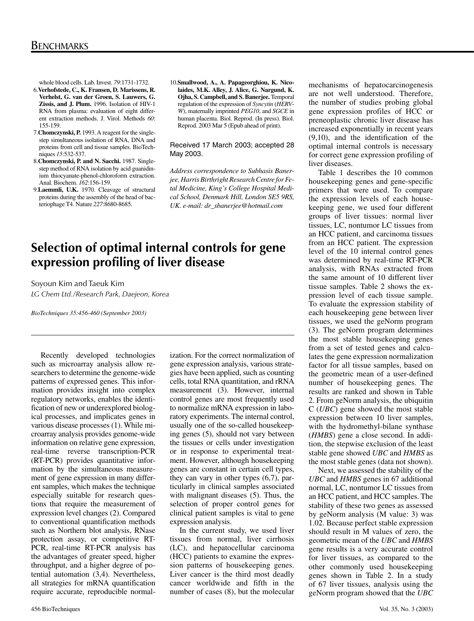whole blood cells. Lab. Invest. *79*:1731-1732.

- 6.**Verhofstede, C., K. Fransen, D. Marissens, R. Verhelst, G. van der Groen, S. Lauwers, G. Zissis, and J. Plum.** 1996. Isolation of HIV-1 RNA from plasma: evaluation of eight different extraction methods. J. Virol. Methods *60*: 155-159.
- 7.**Chomczynski, P.** 1993. A reagent for the singlestep simultaneous isolation of RNA, DNA and proteins from cell and tissue samples. BioTechniques *15*:532-537.
- 8.**Chomczynski, P. and N. Sacchi.** 1987. Singlestep method of RNA isolation by acid guanidinium thiocyanate-phenol-chloroform extraction. Anal. Biochem. *162*:156-159.
- 9.**Laemmli, U.K.** 1970. Cleavage of structural proteins during the assembly of the head of bacteriophage T4. Nature *227*:8680-8685.
- 10.**Smallwood, A., A. Papageorghiou, K. Nicolaides, M.K. Alley, J. Alice, G. Nargund, K. Ojha, S. Campbell, and S. Banerjee.** Temporal regulation of the expression of *Syncytin* (*HERV*-*W*), maternally imprinted *PEG10*, and *SGCE* in human placenta. Biol. Reprod. (In press). Biol. Reprod. 2003 Mar 5 (Epub ahead of print).

## Received 17 March 2003; accepted 28 May 2003.

*Address correspondence to Subhasis Banerjee, Harris Birthright Research Centre for Fetal Medicine, King's College Hospital Medical School, Denmark Hill, London SE5 9RS, UK. e-mail: dr\_sbanerjee@hotmail.com*

# **Selection of optimal internal controls for gene expression profiling of liver disease**

Soyoun Kim and Taeuk Kim *LG Chem Ltd./Research Park, Daejeon, Korea*

*BioTechniques 35:456-460 (September 2003)*

Recently developed technologies such as microarray analysis allow researchers to determine the genome-wide patterns of expressed genes. This information provides insight into complex regulatory networks, enables the identification of new or underexplored biological processes, and implicates genes in various disease processes (1). While microarray analysis provides genome-wide information on relative gene expression, real-time reverse transcription-PCR (RT-PCR) provides quantitative information by the simultaneous measurement of gene expression in many different samples, which makes the technique especially suitable for research questions that require the measurement of expression level changes (2). Compared to conventional quantification methods such as Northern blot analysis, RNase protection assay, or competitive RT-PCR, real-time RT-PCR analysis has the advantages of greater speed, higher throughput, and a higher degree of potential automation (3,4). Nevertheless, all strategies for mRNA quantification require accurate, reproducible normalization. For the correct normalization of gene expression analysis, various strategies have been applied, such as counting cells, total RNA quantitation, and rRNA measurement (3). However, internal control genes are most frequently used to normalize mRNA expression in laboratory experiments. The internal control, usually one of the so-called housekeeping genes (5), should not vary between the tissues or cells under investigation or in response to experimental treatment. However, although housekeeping genes are constant in certain cell types, they can vary in other types (6,7), particularly in clinical samples associated with malignant diseases (5). Thus, the selection of proper control genes for clinical patient samples is vital to gene expression analysis.

In the current study, we used liver tissues from normal, liver cirrhosis (LC), and hepatocellular carcinoma (HCC) patients to examine the expression patterns of housekeeping genes. Liver cancer is the third most deadly cancer worldwide and fifth in the number of cases (8), but the molecular mechanisms of hepatocarcinogenesis are not well understood. Therefore, the number of studies probing global gene expression profiles of HCC or preneoplastic chronic liver disease has increased exponentially in recent years (9,10), and the identification of the optimal internal controls is necessary for correct gene expression profiling of liver diseases.

Table 1 describes the 10 common housekeeping genes and gene-specific primers that were used. To compare the expression levels of each housekeeping gene, we used four different groups of liver tissues: normal liver tissues, LC, nontumor LC tissues from an HCC patient, and carcinoma tissues from an HCC patient. The expression level of the 10 internal control genes was determined by real-time RT-PCR analysis, with RNAs extracted from the same amount of 10 different liver tissue samples. Table 2 shows the expression level of each tissue sample. To evaluate the expression stability of each housekeeping gene between liver tissues, we used the geNorm program (3). The geNorm program determines the most stable housekeeping genes from a set of tested genes and calculates the gene expression normalization factor for all tissue samples, based on the geometric mean of a user-defined number of housekeeping genes. The results are ranked and shown in Table 2. From geNorm analysis, the ubiquitin C (*UBC*) gene showed the most stable expression between 10 liver samples, with the hydromethyl-bilane synthase (*HMBS*) gene a close second. In addition, the stepwise exclusion of the least stable gene showed *UBC* and *HMBS* as the most stable genes (data not shown).

Next, we assessed the stability of the *UBC* and *HMBS* genes in 67 additional normal, LC, nontumor LC tissues from an HCC patient, and HCC samples. The stability of these two genes as assessed by geNorm analysis (M value: 3) was 1.02. Because perfect stable expression should result in M values of zero, the geometric mean of the *UBC* and *HMBS*  gene results is a very accurate control for liver tissues, as compared to the other commonly used housekeeping genes shown in Table 2. In a study of 67 liver tissues, analysis using the geNorm program showed that the *UBC*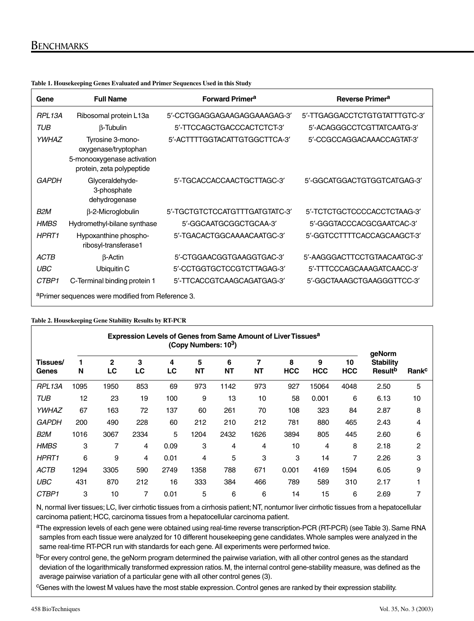# **BENCHMARKS**

| Gene                                                          | <b>Full Name</b>                                                                                    | <b>Forward Primera</b>         | Reverse Primer <sup>a</sup>   |  |  |  |  |  |  |  |  |
|---------------------------------------------------------------|-----------------------------------------------------------------------------------------------------|--------------------------------|-------------------------------|--|--|--|--|--|--|--|--|
| <b>RPL13A</b>                                                 | Ribosomal protein L13a                                                                              | 5'-CCTGGAGGAGAAGAGGAAAGAG-3'   | 5'-TTGAGGACCTCTGTGTATTTGTC-3' |  |  |  |  |  |  |  |  |
| TUB                                                           | B-Tubulin                                                                                           | 5'-TTCCAGCTGACCCACTCTCT-3'     | 5'-ACAGGGCCTCGTTATCAATG-3'    |  |  |  |  |  |  |  |  |
| <b>YWHAZ</b>                                                  | Tyrosine 3-mono-<br>oxygenase/tryptophan<br>5-monooxygenase activation<br>protein, zeta polypeptide | 5'-ACTTTTGGTACATTGTGGCTTCA-3'  | 5'-CCGCCAGGACAAACCAGTAT-3'    |  |  |  |  |  |  |  |  |
| <b>GAPDH</b>                                                  | Glyceraldehyde-<br>3-phosphate<br>dehydrogenase                                                     | 5'-TGCACCACCAACTGCTTAGC-3'     | 5'-GGCATGGACTGTGGTCATGAG-3'   |  |  |  |  |  |  |  |  |
| B2M                                                           | $\beta$ -2-Microglobulin                                                                            | 5'-TGCTGTCTCCATGTTTGATGTATC-3' | 5'-TCTCTGCTCCCCACCTCTAAG-3'   |  |  |  |  |  |  |  |  |
| <b>HMBS</b>                                                   | Hydromethyl-bilane synthase                                                                         | 5'-GGCAATGCGGCTGCAA-3'         | 5'-GGGTACCCACGCGAATCAC-3'     |  |  |  |  |  |  |  |  |
| <b>HPRT1</b>                                                  | Hypoxanthine phospho-<br>ribosyl-transferase1                                                       | 5'-TGACACTGGCAAAACAATGC-3'     | 5'-GGTCCTTTTCACCAGCAAGCT-3'   |  |  |  |  |  |  |  |  |
| <b>ACTB</b>                                                   | $\beta$ -Actin                                                                                      | 5'-CTGGAACGGTGAAGGTGAC-3'      | 5'-AAGGGACTTCCTGTAACAATGC-3'  |  |  |  |  |  |  |  |  |
| UBC                                                           | Ubiquitin C                                                                                         | 5'-CCTGGTGCTCCGTCTTAGAG-3'     | 5'-TTTCCCAGCAAAGATCAACC-3'    |  |  |  |  |  |  |  |  |
| CTBP1                                                         | C-Terminal binding protein 1                                                                        | 5'-TTCACCGTCAAGCAGATGAG-3'     | 5'-GGCTAAAGCTGAAGGGTTCC-3'    |  |  |  |  |  |  |  |  |
| <sup>a</sup> Primer sequences were modified from Reference 3. |                                                                                                     |                                |                               |  |  |  |  |  |  |  |  |

**Table 1. Housekeeping Genes Evaluated and Primer Sequences Used in this Study**

#### **Table 2. Housekeeping Gene Stability Results by RT-PCR**

| <b>Expression Levels of Genes from Same Amount of Liver Tissues<sup>a</sup></b><br>(Copy Numbers: 103) |        |         |         |         |                |                |                |                 |                 |                  |                                                          |                   |
|--------------------------------------------------------------------------------------------------------|--------|---------|---------|---------|----------------|----------------|----------------|-----------------|-----------------|------------------|----------------------------------------------------------|-------------------|
| Tissues/<br>Genes                                                                                      | 1<br>N | 2<br>LC | 3<br>LC | 4<br>LC | 5<br><b>NT</b> | 6<br><b>NT</b> | 7<br><b>NT</b> | 8<br><b>HCC</b> | 9<br><b>HCC</b> | 10<br><b>HCC</b> | geNorm<br><b>Stability</b><br><b>Result</b> <sup>b</sup> | Rank <sup>c</sup> |
| RPL13A                                                                                                 | 1095   | 1950    | 853     | 69      | 973            | 1142           | 973            | 927             | 15064           | 4048             | 2.50                                                     | 5                 |
| <b>TUB</b>                                                                                             | 12     | 23      | 19      | 100     | 9              | 13             | 10             | 58              | 0.001           | 6                | 6.13                                                     | 10                |
| YWHAZ                                                                                                  | 67     | 163     | 72      | 137     | 60             | 261            | 70             | 108             | 323             | 84               | 2.87                                                     | 8                 |
| <b>GAPDH</b>                                                                                           | 200    | 490     | 228     | 60      | 212            | 210            | 212            | 781             | 880             | 465              | 2.43                                                     | 4                 |
| B <sub>2</sub> M                                                                                       | 1016   | 3067    | 2334    | 5       | 1204           | 2432           | 1626           | 3894            | 805             | 445              | 2.60                                                     | 6                 |
| <b>HMBS</b>                                                                                            | 3      | 7       | 4       | 0.09    | 3              | 4              | 4              | 10              | 4               | 8                | 2.18                                                     | 2                 |
| HPRT1                                                                                                  | 6      | 9       | 4       | 0.01    | 4              | 5              | 3              | 3               | 14              | 7                | 2.26                                                     | 3                 |
| <b>ACTB</b>                                                                                            | 1294   | 3305    | 590     | 2749    | 1358           | 788            | 671            | 0.001           | 4169            | 1594             | 6.05                                                     | 9                 |
| <b>UBC</b>                                                                                             | 431    | 870     | 212     | 16      | 333            | 384            | 466            | 789             | 589             | 310              | 2.17                                                     |                   |
| CTBP1                                                                                                  | 3      | 10      | 7       | 0.01    | 5              | 6              | 6              | 14              | 15              | 6                | 2.69                                                     | 7                 |

N, normal liver tissues; LC, liver cirrhotic tissues from a cirrhosis patient; NT, nontumor liver cirrhotic tissues from a hepatocellular carcinoma patient; HCC, carcinoma tissues from a hepatocellular carcinoma patient.

aThe expression levels of each gene were obtained using real-time reverse transcription-PCR (RT-PCR) (see Table 3). Same RNA samples from each tissue were analyzed for 10 different housekeeping gene candidates. Whole samples were analyzed in the same real-time RT-PCR run with standards for each gene. All experiments were performed twice.

<sup>b</sup>For every control gene, the geNorm program determined the pairwise variation, with all other control genes as the standard deviation of the logarithmically transformed expression ratios. M, the internal control gene-stability measure, was defined as the average pairwise variation of a particular gene with all other control genes (3).

<sup>c</sup>Genes with the lowest M values have the most stable expression. Control genes are ranked by their expression stability.